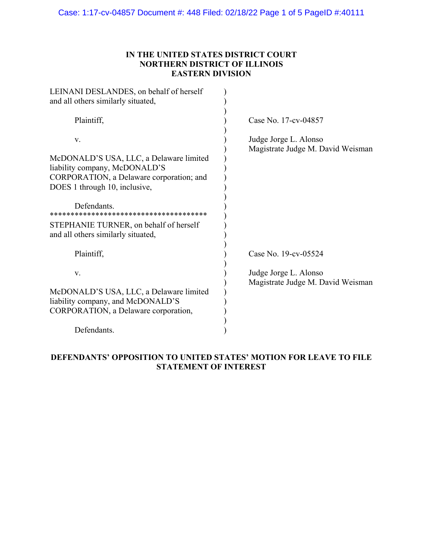Case: 1:17-cv-04857 Document #: 448 Filed: 02/18/22 Page 1 of 5 PageID #:40111

## **IN THE UNITED STATES DISTRICT COURT NORTHERN DISTRICT OF ILLINOIS EASTERN DIVISION**

| LEINANI DESLANDES, on behalf of herself<br>and all others similarly situated,                                                                                                                                                                              |                                                            |
|------------------------------------------------------------------------------------------------------------------------------------------------------------------------------------------------------------------------------------------------------------|------------------------------------------------------------|
| Plaintiff,                                                                                                                                                                                                                                                 | Case No. 17-cv-04857                                       |
| V.<br>McDONALD'S USA, LLC, a Delaware limited<br>liability company, McDONALD'S<br>CORPORATION, a Delaware corporation; and<br>DOES 1 through 10, inclusive,<br>Defendants.<br>STEPHANIE TURNER, on behalf of herself<br>and all others similarly situated, | Judge Jorge L. Alonso<br>Magistrate Judge M. David Weisman |
| Plaintiff,                                                                                                                                                                                                                                                 | Case No. 19-cv-05524                                       |
| V.                                                                                                                                                                                                                                                         | Judge Jorge L. Alonso<br>Magistrate Judge M. David Weisman |
| McDONALD'S USA, LLC, a Delaware limited<br>liability company, and McDONALD'S<br>CORPORATION, a Delaware corporation,                                                                                                                                       |                                                            |
| Defendants.                                                                                                                                                                                                                                                |                                                            |

# **DEFENDANTS' OPPOSITION TO UNITED STATES' MOTION FOR LEAVE TO FILE STATEMENT OF INTEREST**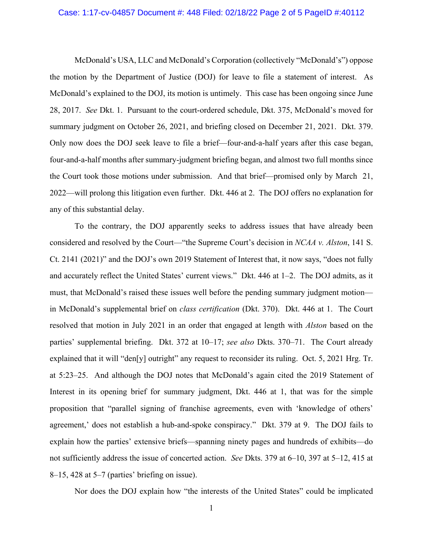#### Case: 1:17-cv-04857 Document #: 448 Filed: 02/18/22 Page 2 of 5 PageID #:40112

 McDonald's USA, LLC and McDonald's Corporation (collectively "McDonald's") oppose the motion by the Department of Justice (DOJ) for leave to file a statement of interest. As McDonald's explained to the DOJ, its motion is untimely. This case has been ongoing since June 28, 2017. *See* Dkt. 1. Pursuant to the court-ordered schedule, Dkt. 375, McDonald's moved for summary judgment on October 26, 2021, and briefing closed on December 21, 2021. Dkt. 379. Only now does the DOJ seek leave to file a brief—four-and-a-half years after this case began, four-and-a-half months after summary-judgment briefing began, and almost two full months since the Court took those motions under submission. And that brief—promised only by March 21, 2022—will prolong this litigation even further. Dkt. 446 at 2. The DOJ offers no explanation for any of this substantial delay.

 To the contrary, the DOJ apparently seeks to address issues that have already been considered and resolved by the Court—"the Supreme Court's decision in *NCAA v. Alston*, 141 S. Ct. 2141 (2021)" and the DOJ's own 2019 Statement of Interest that, it now says, "does not fully and accurately reflect the United States' current views." Dkt. 446 at 1–2. The DOJ admits, as it must, that McDonald's raised these issues well before the pending summary judgment motion in McDonald's supplemental brief on *class certification* (Dkt. 370). Dkt. 446 at 1. The Court resolved that motion in July 2021 in an order that engaged at length with *Alston* based on the parties' supplemental briefing. Dkt. 372 at 10–17; *see also* Dkts. 370–71. The Court already explained that it will "den[y] outright" any request to reconsider its ruling. Oct. 5, 2021 Hrg. Tr. at 5:23–25. And although the DOJ notes that McDonald's again cited the 2019 Statement of Interest in its opening brief for summary judgment, Dkt. 446 at 1, that was for the simple proposition that "parallel signing of franchise agreements, even with 'knowledge of others' agreement,' does not establish a hub-and-spoke conspiracy." Dkt. 379 at 9. The DOJ fails to explain how the parties' extensive briefs—spanning ninety pages and hundreds of exhibits—do not sufficiently address the issue of concerted action. *See* Dkts. 379 at 6–10, 397 at 5–12, 415 at 8–15, 428 at 5–7 (parties' briefing on issue).

Nor does the DOJ explain how "the interests of the United States" could be implicated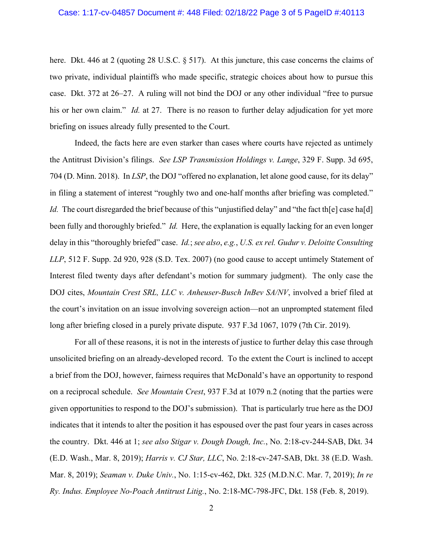here. Dkt. 446 at 2 (quoting 28 U.S.C. § 517). At this juncture, this case concerns the claims of two private, individual plaintiffs who made specific, strategic choices about how to pursue this case. Dkt. 372 at 26–27. A ruling will not bind the DOJ or any other individual "free to pursue his or her own claim." *Id.* at 27. There is no reason to further delay adjudication for yet more briefing on issues already fully presented to the Court.

 Indeed, the facts here are even starker than cases where courts have rejected as untimely the Antitrust Division's filings. *See LSP Transmission Holdings v. Lange*, 329 F. Supp. 3d 695, 704 (D. Minn. 2018). In *LSP*, the DOJ "offered no explanation, let alone good cause, for its delay" in filing a statement of interest "roughly two and one-half months after briefing was completed." *Id.* The court disregarded the brief because of this "unjustified delay" and "the fact the case has ald been fully and thoroughly briefed." *Id.* Here, the explanation is equally lacking for an even longer delay in this "thoroughly briefed" case. *Id.*; *see also*, *e.g.*, *U.S. ex rel. Gudur v. Deloitte Consulting LLP*, 512 F. Supp. 2d 920, 928 (S.D. Tex. 2007) (no good cause to accept untimely Statement of Interest filed twenty days after defendant's motion for summary judgment). The only case the DOJ cites, *Mountain Crest SRL, LLC v. Anheuser-Busch InBev SA/NV*, involved a brief filed at the court's invitation on an issue involving sovereign action—not an unprompted statement filed long after briefing closed in a purely private dispute. 937 F.3d 1067, 1079 (7th Cir. 2019).

 For all of these reasons, it is not in the interests of justice to further delay this case through unsolicited briefing on an already-developed record. To the extent the Court is inclined to accept a brief from the DOJ, however, fairness requires that McDonald's have an opportunity to respond on a reciprocal schedule. *See Mountain Crest*, 937 F.3d at 1079 n.2 (noting that the parties were given opportunities to respond to the DOJ's submission). That is particularly true here as the DOJ indicates that it intends to alter the position it has espoused over the past four years in cases across the country. Dkt. 446 at 1; *see also Stigar v. Dough Dough, Inc.*, No. 2:18-cv-244-SAB, Dkt. 34 (E.D. Wash., Mar. 8, 2019); *Harris v. CJ Star, LLC*, No. 2:18-cv-247-SAB, Dkt. 38 (E.D. Wash. Mar. 8, 2019); *Seaman v. Duke Univ.*, No. 1:15-cv-462, Dkt. 325 (M.D.N.C. Mar. 7, 2019); *In re Ry. Indus. Employee No-Poach Antitrust Litig.*, No. 2:18-MC-798-JFC, Dkt. 158 (Feb. 8, 2019).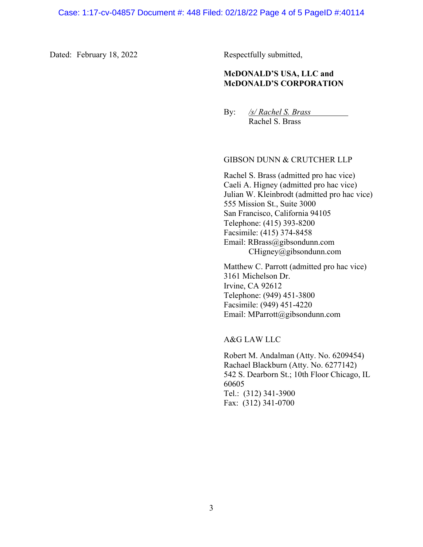Dated: February 18, 2022 Respectfully submitted,

### **McDONALD'S USA, LLC and McDONALD'S CORPORATION**

By: */s/ Rachel S. Brass* Rachel S. Brass

#### GIBSON DUNN & CRUTCHER LLP

Rachel S. Brass (admitted pro hac vice) Caeli A. Higney (admitted pro hac vice) Julian W. Kleinbrodt (admitted pro hac vice) 555 Mission St., Suite 3000 San Francisco, California 94105 Telephone: (415) 393-8200 Facsimile: (415) 374-8458 Email: RBrass@gibsondunn.com CHigney@gibsondunn.com

Matthew C. Parrott (admitted pro hac vice) 3161 Michelson Dr. Irvine, CA 92612 Telephone: (949) 451-3800 Facsimile: (949) 451-4220 Email: MParrott@gibsondunn.com

A&G LAW LLC

Robert M. Andalman (Atty. No. 6209454) Rachael Blackburn (Atty. No. 6277142) 542 S. Dearborn St.; 10th Floor Chicago, IL 60605 Tel.: (312) 341-3900 Fax: (312) 341-0700